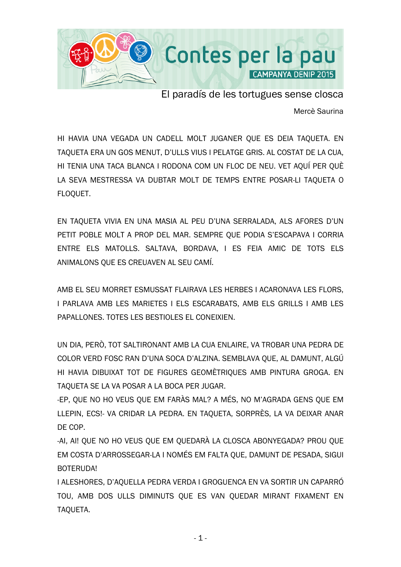

El paradís de les tortugues sense closca

Mercè Saurina

HI HAVIA UNA VEGADA UN CADELL MOLT JUGANER QUE ES DEIA TAQUETA. EN TAQUETA ERA UN GOS MENUT, D'ULLS VIUS I PELATGE GRIS. AL COSTAT DE LA CUA, HI TENIA UNA TACA BLANCA I RODONA COM UN FLOC DE NEU. VET AQUÍ PER QUÈ LA SEVA MESTRESSA VA DUBTAR MOLT DE TEMPS ENTRE POSAR-LI TAQUETA O FLOQUET.

EN TAQUETA VIVIA EN UNA MASIA AL PEU D'UNA SERRALADA, ALS AFORES D'UN PETIT POBLE MOLT A PROP DEL MAR. SEMPRE QUE PODIA S'ESCAPAVA I CORRIA ENTRE ELS MATOLLS. SALTAVA, BORDAVA, I ES FEIA AMIC DE TOTS ELS ANIMALONS QUE ES CREUAVEN AL SEU CAMÍ.

AMB EL SEU MORRET ESMUSSAT FLAIRAVA LES HERBES I ACARONAVA LES FLORS, I PARLAVA AMB LES MARIETES I ELS ESCARABATS, AMB ELS GRILLS I AMB LES PAPALLONES. TOTES LES BESTIOLES EL CONEIXIEN.

UN DIA, PERÒ, TOT SALTIRONANT AMB LA CUA ENLAIRE, VA TROBAR UNA PEDRA DE COLOR VERD FOSC RAN D'UNA SOCA D'ALZINA. SEMBLAVA QUE, AL DAMUNT, ALGÚ HI HAVIA DIBUIXAT TOT DE FIGURES GEOMÈTRIQUES AMB PINTURA GROGA. EN TAQUETA SE LA VA POSAR A LA BOCA PER JUGAR.

-EP, QUE NO HO VEUS QUE EM FARÀS MAL? A MÉS, NO M'AGRADA GENS QUE EM LLEPIN, ECS!- VA CRIDAR LA PEDRA. EN TAQUETA, SORPRÈS, LA VA DEIXAR ANAR DE COP.

-AI, AI! QUE NO HO VEUS QUE EM QUEDARÀ LA CLOSCA ABONYEGADA? PROU QUE EM COSTA D'ARROSSEGAR-LA I NOMÉS EM FALTA QUE, DAMUNT DE PESADA, SIGUI BOTERUDA!

I ALESHORES, D'AQUELLA PEDRA VERDA I GROGUENCA EN VA SORTIR UN CAPARRÓ TOU, AMB DOS ULLS DIMINUTS QUE ES VAN QUEDAR MIRANT FIXAMENT EN TAQUETA.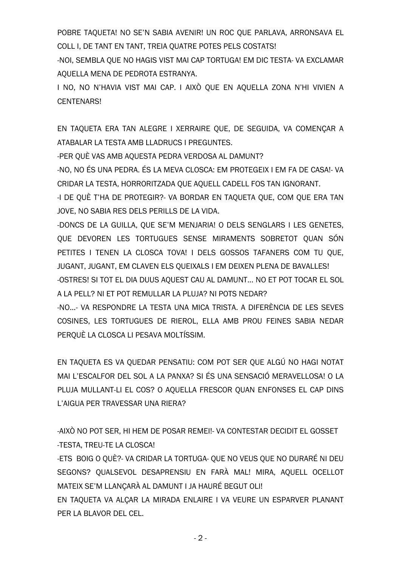POBRE TAQUETA! NO SE'N SABIA AVENIR! UN ROC QUE PARLAVA, ARRONSAVA EL COLL I, DE TANT EN TANT, TREIA QUATRE POTES PELS COSTATS!

-NOI, SEMBLA QUE NO HAGIS VIST MAI CAP TORTUGA! EM DIC TESTA- VA EXCLAMAR AQUELLA MENA DE PEDROTA ESTRANYA.

I NO, NO N'HAVIA VIST MAI CAP. I AIXÒ QUE EN AQUELLA ZONA N'HI VIVIEN A CENTENARS!

EN TAQUETA ERA TAN ALEGRE I XERRAIRE QUE, DE SEGUIDA, VA COMENÇAR A ATABALAR LA TESTA AMB LLADRUCS I PREGUNTES.

-PER QUÈ VAS AMB AQUESTA PEDRA VERDOSA AL DAMUNT?

-NO, NO ÉS UNA PEDRA. ÉS LA MEVA CLOSCA: EM PROTEGEIX I EM FA DE CASA!- VA CRIDAR LA TESTA, HORRORITZADA QUE AQUELL CADELL FOS TAN IGNORANT.

-I DE QUÈ T'HA DE PROTEGIR?- VA BORDAR EN TAQUETA QUE, COM QUE ERA TAN JOVE, NO SABIA RES DELS PERILLS DE LA VIDA.

-DONCS DE LA GUILLA, QUE SE'M MENJARIA! O DELS SENGLARS I LES GENETES, QUE DEVOREN LES TORTUGUES SENSE MIRAMENTS SOBRETOT QUAN SÓN PETITES I TENEN LA CLOSCA TOVA! I DELS GOSSOS TAFANERS COM TU QUE, JUGANT, JUGANT, EM CLAVEN ELS QUEIXALS I EM DEIXEN PLENA DE BAVALLES! -OSTRES! SI TOT EL DIA DUUS AQUEST CAU AL DAMUNT... NO ET POT TOCAR EL SOL A LA PELL? NI ET POT REMULLAR LA PLUJA? NI POTS NEDAR?

-NO...- VA RESPONDRE LA TESTA UNA MICA TRISTA. A DIFERÈNCIA DE LES SEVES COSINES, LES TORTUGUES DE RIEROL, ELLA AMB PROU FEINES SABIA NEDAR PERQUÈ LA CLOSCA LI PESAVA MOLTÍSSIM.

EN TAQUETA ES VA QUEDAR PENSATIU: COM POT SER QUE ALGÚ NO HAGI NOTAT MAI L'ESCALFOR DEL SOL A LA PANXA? SI ÉS UNA SENSACIÓ MERAVELLOSA! O LA PLUJA MULLANT-LI EL COS? O AQUELLA FRESCOR QUAN ENFONSES EL CAP DINS L'AIGUA PER TRAVESSAR UNA RIERA?

-AIXÒ NO POT SER, HI HEM DE POSAR REMEI!- VA CONTESTAR DECIDIT EL GOSSET -TESTA, TREU-TE LA CLOSCA!

-ETS BOIG O QUÈ?- VA CRIDAR LA TORTUGA- QUE NO VEUS QUE NO DURARÉ NI DEU SEGONS? QUALSEVOL DESAPRENSIU EN FARÀ MAL! MIRA, AQUELL OCELLOT MATEIX SE'M LLANÇARÀ AL DAMUNT I JA HAURÉ BEGUT OLI!

EN TAQUETA VA ALÇAR LA MIRADA ENLAIRE I VA VEURE UN ESPARVER PLANANT PER LA BLAVOR DEL CEL.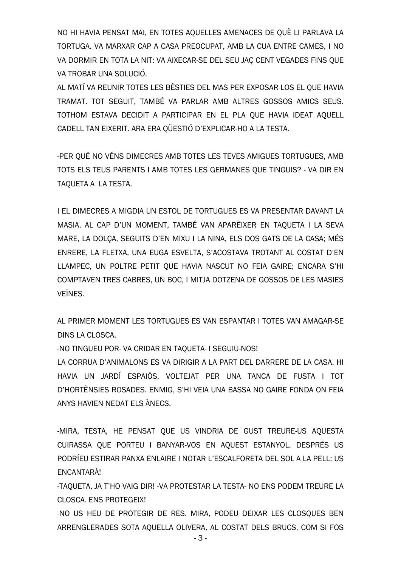NO HI HAVIA PENSAT MAI, EN TOTES AQUELLES AMENACES DE QUÈ LI PARLAVA LA TORTUGA. VA MARXAR CAP A CASA PREOCUPAT, AMB LA CUA ENTRE CAMES, I NO VA DORMIR EN TOTA LA NIT: VA AIXECAR-SE DEL SEU JAÇ CENT VEGADES FINS QUE VA TROBAR UNA SOLUCIÓ.

AL MATÍ VA REUNIR TOTES LES BÈSTIES DEL MAS PER EXPOSAR-LOS EL QUE HAVIA TRAMAT. TOT SEGUIT, TAMBÉ VA PARLAR AMB ALTRES GOSSOS AMICS SEUS. TOTHOM ESTAVA DECIDIT A PARTICIPAR EN EL PLA QUE HAVIA IDEAT AQUELL CADELL TAN EIXERIT. ARA ERA QÜESTIÓ D'EXPLICAR-HO A LA TESTA.

-PER QUÈ NO VÉNS DIMECRES AMB TOTES LES TEVES AMIGUES TORTUGUES, AMB TOTS ELS TEUS PARENTS I AMB TOTES LES GERMANES QUE TINGUIS? - VA DIR EN TAQUETA A LA TESTA.

I EL DIMECRES A MIGDIA UN ESTOL DE TORTUGUES ES VA PRESENTAR DAVANT LA MASIA. AL CAP D'UN MOMENT, TAMBÉ VAN APARÈIXER EN TAQUETA I LA SEVA MARE, LA DOLÇA, SEGUITS D'EN MIXU I LA NINA, ELS DOS GATS DE LA CASA; MÉS ENRERE, LA FLETXA, UNA EUGA ESVELTA, S'ACOSTAVA TROTANT AL COSTAT D'EN LLAMPEC, UN POLTRE PETIT QUE HAVIA NASCUT NO FEIA GAIRE; ENCARA S'HI COMPTAVEN TRES CABRES, UN BOC, I MITJA DOTZENA DE GOSSOS DE LES MASIES VEÏNES.

AL PRIMER MOMENT LES TORTUGUES ES VAN ESPANTAR I TOTES VAN AMAGAR-SE DINS LA CLOSCA.

-NO TINGUEU POR- VA CRIDAR EN TAQUETA- I SEGUIU-NOS!

LA CORRUA D'ANIMALONS ES VA DIRIGIR A LA PART DEL DARRERE DE LA CASA. HI HAVIA UN JARDÍ ESPAIÓS, VOLTEJAT PER UNA TANCA DE FUSTA I TOT D'HORTÈNSIES ROSADES. ENMIG, S'HI VEIA UNA BASSA NO GAIRE FONDA ON FEIA ANYS HAVIEN NEDAT ELS ÀNECS.

-MIRA, TESTA, HE PENSAT QUE US VINDRIA DE GUST TREURE-US AQUESTA CUIRASSA QUE PORTEU I BANYAR-VOS EN AQUEST ESTANYOL. DESPRÉS US PODRÍEU ESTIRAR PANXA ENLAIRE I NOTAR L'ESCALFORETA DEL SOL A LA PELL: US ENCANTARÀ!

-TAQUETA, JA T'HO VAIG DIR! -VA PROTESTAR LA TESTA- NO ENS PODEM TREURE LA CLOSCA. ENS PROTEGEIX!

-NO US HEU DE PROTEGIR DE RES. MIRA, PODEU DEIXAR LES CLOSQUES BEN ARRENGLERADES SOTA AQUELLA OLIVERA, AL COSTAT DELS BRUCS, COM SI FOS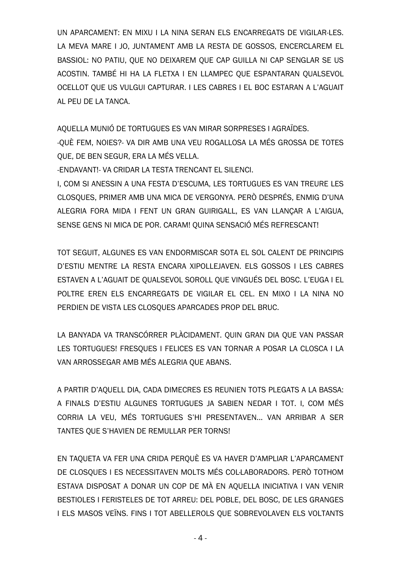UN APARCAMENT: EN MIXU I LA NINA SERAN ELS ENCARREGATS DE VIGILAR-LES. LA MEVA MARE I JO, JUNTAMENT AMB LA RESTA DE GOSSOS, ENCERCLAREM EL BASSIOL: NO PATIU, OUE NO DEIXAREM OUE CAP GUILLA NI CAP SENGLAR SE US ACOSTIN. TAMBÉ HI HA LA FLETXA I EN LLAMPEC QUE ESPANTARAN QUALSEVOL OCELLOT OUE US VULGUI CAPTURAR. I LES CABRES I EL BOC ESTARAN A L'AGUAIT AL PEU DE LA TANCA.

AQUELLA MUNIÓ DE TORTUGUES ES VAN MIRAR SORPRESES I AGRAÏDES. -QUÈ FEM, NOIES?- VA DIR AMB UNA VEU ROGALLOSA LA MÉS GROSSA DE TOTES OUE, DE BEN SEGUR, ERA LA MÉS VELLA.

-ENDAVANT!- VA CRIDAR LA TESTA TRENCANT EL SILENCI.

I. COM SI ANESSIN A UNA FESTA D'ESCUMA. LES TORTUGUES ES VAN TREURE LES CLOSOUES, PRIMER AMB UNA MICA DE VERGONYA, PERÒ DESPRÉS, ENMIG D'UNA ALEGRIA FORA MIDA I FENT UN GRAN GUIRIGALL, ES VAN LLANÇAR A L'AIGUA, SENSE GENS NI MICA DE POR. CARAM! QUINA SENSACIÓ MÉS REFRESCANT!

TOT SEGUIT. ALGUNES ES VAN ENDORMISCAR SOTA EL SOL CALENT DE PRINCIPIS D'ESTIU MENTRE LA RESTA ENCARA XIPOLLEJAVEN. ELS GOSSOS I LES CABRES ESTAVEN A L'AGUAIT DE OUALSEVOL SOROLL QUE VINGUÉS DEL BOSC. L'EUGA I EL POLTRE EREN ELS ENCARREGATS DE VIGILAR EL CEL. EN MIXO I LA NINA NO PERDIEN DE VISTA LES CLOSOUES APARCADES PROP DEL BRUC.

LA BANYADA VA TRANSCÓRRER PLÀCIDAMENT. QUIN GRAN DIA QUE VAN PASSAR LES TORTUGUES! FRESQUES I FELICES ES VAN TORNAR A POSAR LA CLOSCA I LA VAN ARROSSEGAR AMB MÉS ALEGRIA QUE ABANS.

A PARTIR D'AQUELL DIA, CADA DIMECRES ES REUNIEN TOTS PLEGATS A LA BASSA: A FINALS D'ESTIU ALGUNES TORTUGUES JA SABIEN NEDAR I TOT. I. COM MÉS CORRIA LA VEU, MÉS TORTUGUES S'HI PRESENTAVEN... VAN ARRIBAR A SER TANTES OUE S'HAVIEN DE REMULLAR PER TORNS!

EN TAQUETA VA FER UNA CRIDA PERQUÈ ES VA HAVER D'AMPLIAR L'APARCAMENT DE CLOSOUES I ES NECESSITAVEN MOLTS MÉS COL·LABORADORS. PERÒ TOTHOM ESTAVA DISPOSAT A DONAR UN COP DE MÀ EN AQUELLA INICIATIVA I VAN VENIR BESTIOLES I FERISTELES DE TOT ARREU: DEL POBLE, DEL BOSC, DE LES GRANGES I ELS MASOS VEÏNS. FINS I TOT ABELLEROLS QUE SOBREVOLAVEN ELS VOLTANTS